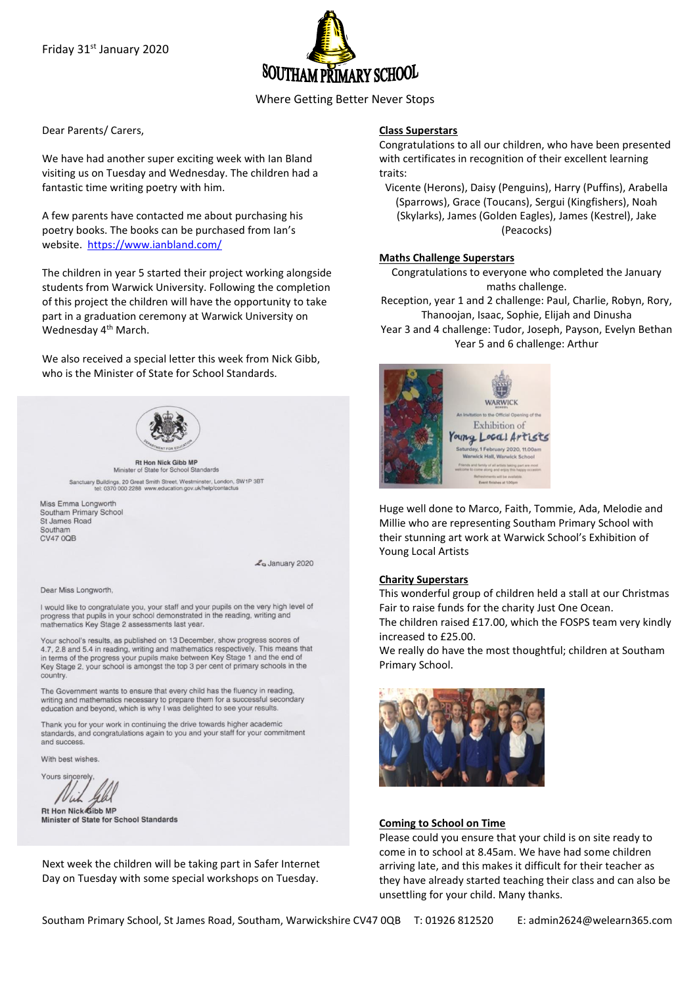

Where Getting Better Never Stops

Dear Parents/ Carers,

We have had another super exciting week with Ian Bland visiting us on Tuesday and Wednesday. The children had a fantastic time writing poetry with him.

A few parents have contacted me about purchasing his poetry books. The books can be purchased from Ian's website. <https://www.ianbland.com/>

The children in year 5 started their project working alongside students from Warwick University. Following the completion of this project the children will have the opportunity to take part in a graduation ceremony at Warwick University on Wednesday 4<sup>th</sup> March.

We also received a special letter this week from Nick Gibb, who is the Minister of State for School Standards.



**Rt Hon Nick Gibb MP** Minister of State for School Standards Sanctuary Buildings, 20 Great Smith Street, Westminster, London, SW1P 3BT<br>tel: 0370 000 2288 www.education.gov.uk/help/contactus

Miss Emma Longworth Southam Primary School St James Road Southam CV47 0QB

Z<sub>o</sub> January 2020

Dear Miss Longworth.

I would like to congratulate you, your staff and your pupils on the very high level of progress that pupils in your school demonstrated in the reading, writing and mathematics Key Stage 2 assessments last year

Your school's results, as published on 13 December, show progress scores of 4.7, 2.8 and 5.4 in reading, writing and mathematics respectively. This means that in terms of the progress your pupils make between Key Stage 1 and the end of Key Stage 2, your school is amongst the top 3 per cent of primary schools in the country

The Government wants to ensure that every child has the fluency in reading, writing and mathematics necessary to prepare them for a successful secondary education and beyond, which is why I was delighted to see your results.

Thank you for your work in continuing the drive towards higher academic standards, and congratulations again to you and your staff for your commitment and success

With best wishes

Yours sincerely 7 L Wh

Rt Hon Nick Gibb MP Minister of State for School Standards

Next week the children will be taking part in Safer Internet Day on Tuesday with some special workshops on Tuesday.

### **Class Superstars**

Congratulations to all our children, who have been presented with certificates in recognition of their excellent learning traits:

Vicente (Herons), Daisy (Penguins), Harry (Puffins), Arabella (Sparrows), Grace (Toucans), Sergui (Kingfishers), Noah (Skylarks), James (Golden Eagles), James (Kestrel), Jake (Peacocks)

#### **Maths Challenge Superstars**

Congratulations to everyone who completed the January maths challenge.

Reception, year 1 and 2 challenge: Paul, Charlie, Robyn, Rory, Thanoojan, Isaac, Sophie, Elijah and Dinusha

Year 3 and 4 challenge: Tudor, Joseph, Payson, Evelyn Bethan Year 5 and 6 challenge: Arthur



Huge well done to Marco, Faith, Tommie, Ada, Melodie and Millie who are representing Southam Primary School with their stunning art work at Warwick School's Exhibition of Young Local Artists

### **Charity Superstars**

This wonderful group of children held a stall at our Christmas Fair to raise funds for the charity Just One Ocean. The children raised £17.00, which the FOSPS team very kindly

increased to £25.00. We really do have the most thoughtful; children at Southam

Primary School.



## **Coming to School on Time**

Please could you ensure that your child is on site ready to come in to school at 8.45am. We have had some children arriving late, and this makes it difficult for their teacher as they have already started teaching their class and can also be unsettling for your child. Many thanks.